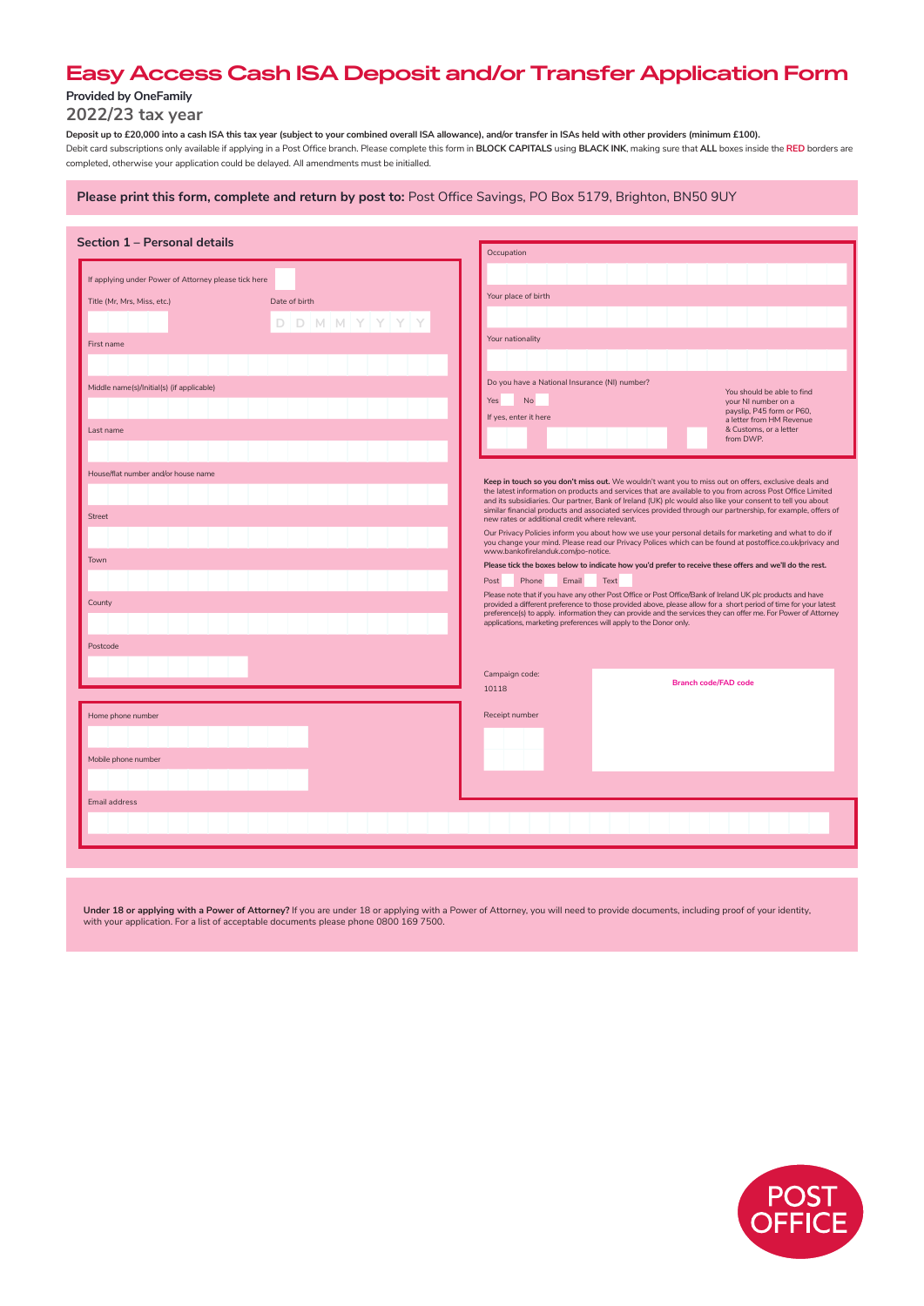# **Easy Access Cash ISA Deposit and/or Transfer Application Form**

# **Provided by OneFamily**

**2022/23 tax year**

**Deposit up to £20,000 into a cash ISA this tax year (subject to your combined overall ISA allowance), and/or transfer in ISAs held with other providers (minimum £100).**  Debit card subscriptions only available if applying in a Post Office branch. Please complete this form in BLOCK CAPITALS using BLACK INK, making sure that ALL boxes inside the RED borders are completed, otherwise your application could be delayed. All amendments must be initialled.

| Please print this form, complete and return by post to: Post Office Savings, PO Box 5179, Brighton, BN50 9UY |  |  |  |
|--------------------------------------------------------------------------------------------------------------|--|--|--|
|--------------------------------------------------------------------------------------------------------------|--|--|--|

| Section 1 - Personal details                         |                 | Occupation                                                                                                                                                                                                                                                                                              |                                                       |
|------------------------------------------------------|-----------------|---------------------------------------------------------------------------------------------------------------------------------------------------------------------------------------------------------------------------------------------------------------------------------------------------------|-------------------------------------------------------|
| If applying under Power of Attorney please tick here |                 |                                                                                                                                                                                                                                                                                                         |                                                       |
| Title (Mr, Mrs, Miss, etc.)                          | Date of birth   | Your place of birth                                                                                                                                                                                                                                                                                     |                                                       |
|                                                      | $D D M M Y Y Y$ |                                                                                                                                                                                                                                                                                                         |                                                       |
| First name                                           |                 | Your nationality                                                                                                                                                                                                                                                                                        |                                                       |
|                                                      |                 |                                                                                                                                                                                                                                                                                                         |                                                       |
| Middle name(s)/Initial(s) (if applicable)            |                 | Do you have a National Insurance (NI) number?                                                                                                                                                                                                                                                           |                                                       |
|                                                      |                 | No<br>Yes                                                                                                                                                                                                                                                                                               | You should be able to find<br>your NI number on a     |
|                                                      |                 | If yes, enter it here                                                                                                                                                                                                                                                                                   | payslip, P45 form or P60,<br>a letter from HM Revenue |
| Last name                                            |                 |                                                                                                                                                                                                                                                                                                         | & Customs, or a letter<br>from DWP.                   |
|                                                      |                 |                                                                                                                                                                                                                                                                                                         |                                                       |
| House/flat number and/or house name                  |                 | Keep in touch so you don't miss out. We wouldn't want you to miss out on offers, exclusive deals and                                                                                                                                                                                                    |                                                       |
|                                                      |                 | the latest information on products and services that are available to you from across Post Office Limited<br>and its subsidiaries. Our partner, Bank of Ireland (UK) plc would also like your consent to tell you about                                                                                 |                                                       |
| <b>Street</b>                                        |                 | similar financial products and associated services provided through our partnership, for example, offers of<br>new rates or additional credit where relevant.                                                                                                                                           |                                                       |
|                                                      |                 | Our Privacy Policies inform you about how we use your personal details for marketing and what to do if<br>you change your mind. Please read our Privacy Polices which can be found at postoffice.co.uk/privacy and                                                                                      |                                                       |
| Town                                                 |                 | www.bankofirelanduk.com/po-notice.<br>Please tick the boxes below to indicate how you'd prefer to receive these offers and we'll do the rest.                                                                                                                                                           |                                                       |
|                                                      |                 | Post<br>Phone<br>Email<br>Text                                                                                                                                                                                                                                                                          |                                                       |
|                                                      |                 | Please note that if you have any other Post Office or Post Office/Bank of Ireland UK plc products and have                                                                                                                                                                                              |                                                       |
| County                                               |                 | provided a different preference to those provided above, please allow for a short period of time for your latest<br>preference(s) to apply. information they can provide and the services they can offer me. For Power of Attorney<br>applications, marketing preferences will apply to the Donor only. |                                                       |
| Postcode                                             |                 |                                                                                                                                                                                                                                                                                                         |                                                       |
|                                                      |                 |                                                                                                                                                                                                                                                                                                         |                                                       |
|                                                      |                 | Campaign code:                                                                                                                                                                                                                                                                                          | <b>Branch code/FAD code</b>                           |
|                                                      |                 | 10118                                                                                                                                                                                                                                                                                                   |                                                       |
| Home phone number                                    |                 | Receipt number                                                                                                                                                                                                                                                                                          |                                                       |
|                                                      |                 |                                                                                                                                                                                                                                                                                                         |                                                       |
| Mobile phone number                                  |                 |                                                                                                                                                                                                                                                                                                         |                                                       |
|                                                      |                 |                                                                                                                                                                                                                                                                                                         |                                                       |
|                                                      |                 |                                                                                                                                                                                                                                                                                                         |                                                       |
| Email address                                        |                 |                                                                                                                                                                                                                                                                                                         |                                                       |
|                                                      |                 |                                                                                                                                                                                                                                                                                                         |                                                       |
|                                                      |                 |                                                                                                                                                                                                                                                                                                         |                                                       |

**Under 18 or applying with a Power of Attorney?** If you are under 18 or applying with a Power of Attorney, you will need to provide documents, including proof of your identity,<br>with your application. For a list of acceptab

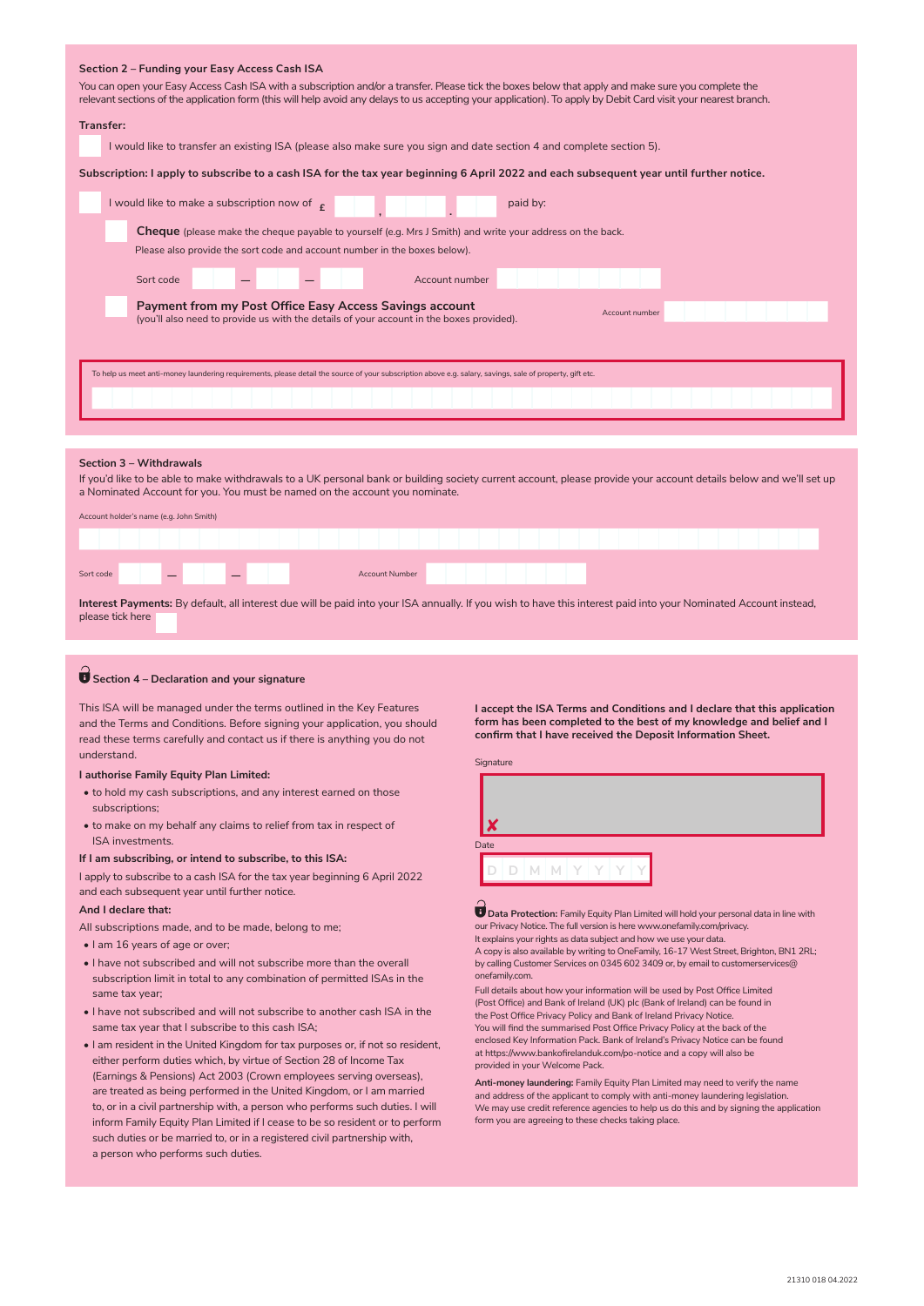### **Section 2 – Funding your Easy Access Cash ISA**

You can open your Easy Access Cash ISA with a subscription and/or a transfer. Please tick the boxes below that apply and make sure you complete the relevant sections of the application form (this will help avoid any delays to us accepting your application). To apply by Debit Card visit your nearest branch.

### **Transfer:**

I would like to transfer an existing ISA (please also make sure you sign and date section 4 and complete section 5).

**Subscription: I apply to subscribe to a cash ISA for the tax year beginning 6 April 2022 and each subsequent year until further notice.**

| I would like to make a subscription now of $\epsilon$                                                                                                                 |  |  |                                                                                                                                                           | paid by: |  |  |  |  |  |  |  |  |  |
|-----------------------------------------------------------------------------------------------------------------------------------------------------------------------|--|--|-----------------------------------------------------------------------------------------------------------------------------------------------------------|----------|--|--|--|--|--|--|--|--|--|
| <b>Cheque</b> (please make the cheque payable to yourself (e.g. Mrs J Smith) and write your address on the back.                                                      |  |  |                                                                                                                                                           |          |  |  |  |  |  |  |  |  |  |
| Please also provide the sort code and account number in the boxes below).                                                                                             |  |  |                                                                                                                                                           |          |  |  |  |  |  |  |  |  |  |
| Sort code                                                                                                                                                             |  |  | Account number                                                                                                                                            |          |  |  |  |  |  |  |  |  |  |
| Payment from my Post Office Easy Access Savings account<br>Account number<br>(you'll also need to provide us with the details of your account in the boxes provided). |  |  |                                                                                                                                                           |          |  |  |  |  |  |  |  |  |  |
|                                                                                                                                                                       |  |  | To help us meet anti-money laundering requirements, please detail the source of your subscription above e.g. salary, savings, sale of property, gift etc. |          |  |  |  |  |  |  |  |  |  |

### **Section 3 – Withdrawals**

If you'd like to be able to make withdrawals to a UK personal bank or building society current account, please provide your account details below and we'll set up a Nominated Account for you. You must be named on the account you nominate.

| Account holder's name (e.g. John Smith) |                                                                                                                                                                  |  |  |  |  |  |  |  |  |                       |  |  |  |  |  |  |  |  |  |  |  |  |
|-----------------------------------------|------------------------------------------------------------------------------------------------------------------------------------------------------------------|--|--|--|--|--|--|--|--|-----------------------|--|--|--|--|--|--|--|--|--|--|--|--|
|                                         |                                                                                                                                                                  |  |  |  |  |  |  |  |  |                       |  |  |  |  |  |  |  |  |  |  |  |  |
| Sort code                               |                                                                                                                                                                  |  |  |  |  |  |  |  |  | <b>Account Number</b> |  |  |  |  |  |  |  |  |  |  |  |  |
|                                         | Interest Payments: By default, all interest due will be paid into your ISA annually. If you wish to have this interest paid into your Nominated Account instead. |  |  |  |  |  |  |  |  |                       |  |  |  |  |  |  |  |  |  |  |  |  |

**Interest Payments:** By default, all interest due will be paid into your ISA annually. If you wish to have this interest paid into your Nominated Account instead, please tick here

### **Section 4 – Declaration and your signature**

This ISA will be managed under the terms outlined in the Key Features and the Terms and Conditions. Before signing your application, you should read these terms carefully and contact us if there is anything you do not understand.

### **I authorise Family Equity Plan Limited:**

- to hold my cash subscriptions, and any interest earned on those subscriptions;
- to make on my behalf any claims to relief from tax in respect of ISA investments.

#### **If I am subscribing, or intend to subscribe, to this ISA:**

I apply to subscribe to a cash ISA for the tax year beginning 6 April 2022 and each subsequent year until further notice.

### **And I declare that:**

All subscriptions made, and to be made, belong to me;

- I am 16 years of age or over;
- I have not subscribed and will not subscribe more than the overall subscription limit in total to any combination of permitted ISAs in the same tax year;
- I have not subscribed and will not subscribe to another cash ISA in the same tax year that I subscribe to this cash ISA;
- I am resident in the United Kingdom for tax purposes or, if not so resident, either perform duties which, by virtue of Section 28 of Income Tax (Earnings & Pensions) Act 2003 (Crown employees serving overseas), are treated as being performed in the United Kingdom, or I am married to, or in a civil partnership with, a person who performs such duties. I will inform Family Equity Plan Limited if I cease to be so resident or to perform such duties or be married to, or in a registered civil partnership with, a person who performs such duties.

**I accept the ISA Terms and Conditions and I declare that this application form has been completed to the best of my knowledge and belief and I confirm that I have received the Deposit Information Sheet.**





 $\blacksquare$  Data Protection: Family Equity Plan Limited will hold your personal data in line with our Privacy Notice. The full version is here www.onefamily.com/privacy. It explains your rights as data subject and how we use your data.

A copy is also available by writing to OneFamily, 16-17 West Street, Brighton, BN1 2RL; by calling Customer Services on 0345 602 3409 or, by email to customerservices@ onefamily.com.

Full details about how your information will be used by Post Office Limited (Post Office) and Bank of Ireland (UK) plc (Bank of Ireland) can be found in the Post Office Privacy Policy and Bank of Ireland Privacy Notice. You will find the summarised Post Office Privacy Policy at the back of the enclosed Key Information Pack. Bank of Ireland's Privacy Notice can be found at https://www.bankofirelanduk.com/po-notice and a copy will also be provided in your Welcome Pack.

**Anti-money laundering:** Family Equity Plan Limited may need to verify the name and address of the applicant to comply with anti-money laundering legislation. We may use credit reference agencies to help us do this and by signing the application form you are agreeing to these checks taking place.